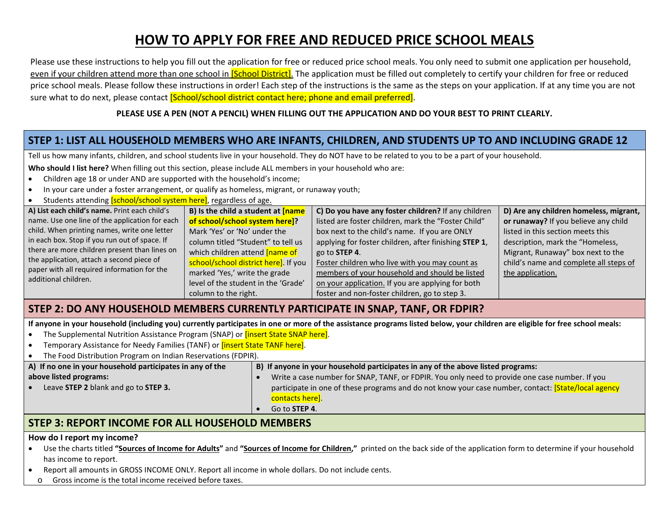# **HOW TO APPLY FOR FREE AND REDUCED PRICE SCHOOL MEALS**

Please use these instructions to help you fill out the application for free or reduced price school meals. You only need to submit one application per household, even if your children attend more than one school in *[School District]*. The application must be filled out completely to certify your children for free or reduced price school meals. Please follow these instructions in order! Each step of the instructions is the same as the steps on your application. If at any time you are not sure what to do next, please contact [School/school district contact here; phone and email preferred].

#### **PLEASE USE A PEN (NOT A PENCIL) WHEN FILLING OUT THE APPLICATION AND DO YOUR BEST TO PRINT CLEARLY.**

# **STEP 1: LIST ALL HOUSEHOLD MEMBERS WHO ARE INFANTS, CHILDREN, AND STUDENTS UP TO AND INCLUDING GRADE 12**

Tell us how many infants, children, and school students live in your household. They do NOT have to be related to you to be a part of your household.

**Who should I list here?** When filling out this section, please include ALL members in your household who are:

- Children age 18 or under AND are supported with the household's income;
- In your care under a foster arrangement, or qualify as homeless, migrant, or runaway youth;
- Students attending **[school/school system here]**, regardless of age.

| A) List each child's name. Print each child's                       | B) Is the child a student at <b>[name</b> ] | C) Do you have any foster children? If any children   | D) Are any children homeless, migrant, |
|---------------------------------------------------------------------|---------------------------------------------|-------------------------------------------------------|----------------------------------------|
| name. Use one line of the application for each                      | of school/school system here]?              | listed are foster children, mark the "Foster Child"   | or runaway? If you believe any child   |
| child. When printing names, write one letter                        | Mark 'Yes' or 'No' under the                | box next to the child's name. If you are ONLY         | listed in this section meets this      |
| in each box. Stop if you run out of space. If                       | column titled "Student" to tell us          | applying for foster children, after finishing STEP 1, | description, mark the "Homeless,       |
| there are more children present than lines on                       | which children attend <b>[name of</b>       | go to STEP 4.                                         | Migrant, Runaway" box next to the      |
| the application, attach a second piece of                           | school/school district here]. If you        | Foster children who live with you may count as        | child's name and complete all steps of |
| paper with all required information for the<br>additional children. | marked 'Yes,' write the grade               | members of your household and should be listed        | the application.                       |
|                                                                     | level of the student in the 'Grade'         | on your application. If you are applying for both     |                                        |
|                                                                     | column to the right.                        | foster and non-foster children, go to step 3.         |                                        |

### **STEP 2: DO ANY HOUSEHOLD MEMBERS CURRENTLY PARTICIPATE IN SNAP, TANF, OR FDPIR?**

**If anyone in your household (including you) currently participates in one or more of the assistance programs listed below, your children are eligible for free school meals:**

- The Supplemental Nutrition Assistance Program (SNAP) or **[insert State SNAP here]**.
- Temporary Assistance for Needy Families (TANF) or **[insert State TANF here]**.

| The Food Distribution Program on Indian Reservations (FDPIR). |                                                                                                     |  |  |  |
|---------------------------------------------------------------|-----------------------------------------------------------------------------------------------------|--|--|--|
| A) If no one in your household participates in any of the     | B) If anyone in your household participates in any of the above listed programs:                    |  |  |  |
| above listed programs:                                        | Write a case number for SNAP, TANF, or FDPIR. You only need to provide one case number. If you      |  |  |  |
| Leave STEP 2 blank and go to STEP 3.                          | participate in one of these programs and do not know your case number, contact: [State/local agency |  |  |  |
|                                                               | contacts here].                                                                                     |  |  |  |
|                                                               | Go to STEP 4.                                                                                       |  |  |  |

## **STEP 3: REPORT INCOME FOR ALL HOUSEHOLD MEMBERS**

#### **How do I report my income?**

- Use the charts titled **"Sources of Income for Adults"** and **"Sources of Income for Children,"** printed on the back side of the application form to determine if your household has income to report.
- Report all amounts in GROSS INCOME ONLY. Report all income in whole dollars. Do not include cents.
	- o Gross income is the total income received before taxes.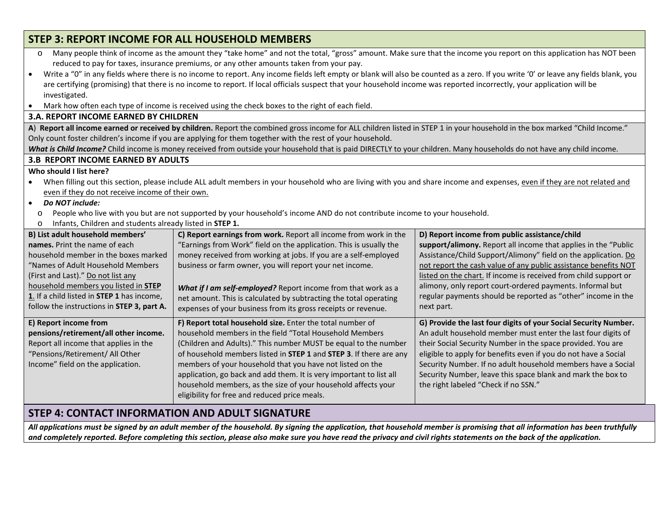| <b>STEP 3: REPORT INCOME FOR ALL HOUSEHOLD MEMBERS</b>                                                                                                                                                                                                                                                                                                                                                                                                                                                                                                                                                                                                  |                                                                                                                                                                                                                                                                                                                                                                                                                                                                                                                     |                                                                                                                                                                                                                                                                                                                                                                                                                                          |  |  |  |
|---------------------------------------------------------------------------------------------------------------------------------------------------------------------------------------------------------------------------------------------------------------------------------------------------------------------------------------------------------------------------------------------------------------------------------------------------------------------------------------------------------------------------------------------------------------------------------------------------------------------------------------------------------|---------------------------------------------------------------------------------------------------------------------------------------------------------------------------------------------------------------------------------------------------------------------------------------------------------------------------------------------------------------------------------------------------------------------------------------------------------------------------------------------------------------------|------------------------------------------------------------------------------------------------------------------------------------------------------------------------------------------------------------------------------------------------------------------------------------------------------------------------------------------------------------------------------------------------------------------------------------------|--|--|--|
| Many people think of income as the amount they "take home" and not the total, "gross" amount. Make sure that the income you report on this application has NOT been<br>$\circ$<br>reduced to pay for taxes, insurance premiums, or any other amounts taken from your pay.<br>Write a "0" in any fields where there is no income to report. Any income fields left empty or blank will also be counted as a zero. If you write '0' or leave any fields blank, you<br>$\bullet$<br>are certifying (promising) that there is no income to report. If local officials suspect that your household income was reported incorrectly, your application will be |                                                                                                                                                                                                                                                                                                                                                                                                                                                                                                                     |                                                                                                                                                                                                                                                                                                                                                                                                                                          |  |  |  |
| investigated.<br>Mark how often each type of income is received using the check boxes to the right of each field.<br>$\bullet$                                                                                                                                                                                                                                                                                                                                                                                                                                                                                                                          |                                                                                                                                                                                                                                                                                                                                                                                                                                                                                                                     |                                                                                                                                                                                                                                                                                                                                                                                                                                          |  |  |  |
| <b>3.A. REPORT INCOME EARNED BY CHILDREN</b>                                                                                                                                                                                                                                                                                                                                                                                                                                                                                                                                                                                                            |                                                                                                                                                                                                                                                                                                                                                                                                                                                                                                                     |                                                                                                                                                                                                                                                                                                                                                                                                                                          |  |  |  |
| A) Report all income earned or received by children. Report the combined gross income for ALL children listed in STEP 1 in your household in the box marked "Child Income."<br>Only count foster children's income if you are applying for them together with the rest of your household.<br>What is Child Income? Child income is money received from outside your household that is paid DIRECTLY to your children. Many households do not have any child income.                                                                                                                                                                                     |                                                                                                                                                                                                                                                                                                                                                                                                                                                                                                                     |                                                                                                                                                                                                                                                                                                                                                                                                                                          |  |  |  |
| <b>3.B REPORT INCOME EARNED BY ADULTS</b>                                                                                                                                                                                                                                                                                                                                                                                                                                                                                                                                                                                                               |                                                                                                                                                                                                                                                                                                                                                                                                                                                                                                                     |                                                                                                                                                                                                                                                                                                                                                                                                                                          |  |  |  |
| Who should I list here?<br>When filling out this section, please include ALL adult members in your household who are living with you and share income and expenses, even if they are not related and<br>$\bullet$<br>even if they do not receive income of their own.<br>Do NOT include:<br>$\bullet$<br>People who live with you but are not supported by your household's income AND do not contribute income to your household.<br>$\circ$<br>Infants, Children and students already listed in STEP 1.<br>$\circ$                                                                                                                                    |                                                                                                                                                                                                                                                                                                                                                                                                                                                                                                                     |                                                                                                                                                                                                                                                                                                                                                                                                                                          |  |  |  |
| B) List adult household members'                                                                                                                                                                                                                                                                                                                                                                                                                                                                                                                                                                                                                        | C) Report earnings from work. Report all income from work in the                                                                                                                                                                                                                                                                                                                                                                                                                                                    | D) Report income from public assistance/child                                                                                                                                                                                                                                                                                                                                                                                            |  |  |  |
| names. Print the name of each<br>household member in the boxes marked<br>"Names of Adult Household Members"<br>(First and Last)." Do not list any<br>household members you listed in STEP<br>1. If a child listed in STEP 1 has income,<br>follow the instructions in STEP 3, part A.                                                                                                                                                                                                                                                                                                                                                                   | "Earnings from Work" field on the application. This is usually the<br>money received from working at jobs. If you are a self-employed<br>business or farm owner, you will report your net income.<br>What if I am self-employed? Report income from that work as a<br>net amount. This is calculated by subtracting the total operating<br>expenses of your business from its gross receipts or revenue.                                                                                                            | support/alimony. Report all income that applies in the "Public<br>Assistance/Child Support/Alimony" field on the application. Do<br>not report the cash value of any public assistance benefits NOT<br>listed on the chart. If income is received from child support or<br>alimony, only report court-ordered payments. Informal but<br>regular payments should be reported as "other" income in the<br>next part.                       |  |  |  |
| E) Report income from<br>pensions/retirement/all other income.<br>Report all income that applies in the<br>"Pensions/Retirement/ All Other<br>Income" field on the application.                                                                                                                                                                                                                                                                                                                                                                                                                                                                         | F) Report total household size. Enter the total number of<br>household members in the field "Total Household Members<br>(Children and Adults)." This number MUST be equal to the number<br>of household members listed in STEP 1 and STEP 3. If there are any<br>members of your household that you have not listed on the<br>application, go back and add them. It is very important to list all<br>household members, as the size of your household affects your<br>eligibility for free and reduced price meals. | G) Provide the last four digits of your Social Security Number.<br>An adult household member must enter the last four digits of<br>their Social Security Number in the space provided. You are<br>eligible to apply for benefits even if you do not have a Social<br>Security Number. If no adult household members have a Social<br>Security Number, leave this space blank and mark the box to<br>the right labeled "Check if no SSN." |  |  |  |

# **STEP 4: CONTACT INFORMATION AND ADULT SIGNATURE**

*All applications must be signed by an adult member of the household. By signing the application, that household member is promising that all information has been truthfully and completely reported. Before completing this section, please also make sure you have read the privacy and civil rights statements on the back of the application.*